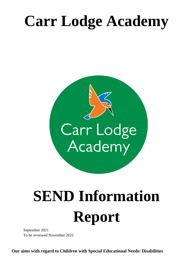# **Carr Lodge Academy**



# **SEND Information Report**

September 2021 To be reviewed November 2022

**Our aims with regard to Children with Special Educational Needs/ Disabilities**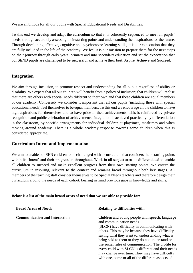We are ambitious for all our pupils with Special Educational Needs and Disabilities.

To this end we develop and adapt the curriculum so that it is coherently sequenced to meet all pupils' needs, through accurately assessing their starting points and understanding their aspirations for the future. Through developing affective, cognitive and psychomotor learning skills, it is our expectation that they are fully included in the life of the academy. We feel it is our mission to prepare them for the next steps on their journey through early years, primary and into secondary education and set the expectation that our SEND pupils are challenged to be successful and achieve their best. Aspire, Achieve and Succeed.

# **Integration**

We aim through inclusion, to promote respect and understanding for all pupils regardless of ability or disability. We expect that all our children will benefit from a policy of inclusion; that children will realise that there are others with special needs different to their own and that these children are equal members of our academy. Conversely we consider it important that all our pupils (including those with special educational needs) feel themselves to be equal members. To this end we encourage all the children to have high aspirations for themselves and to have pride in their achievements. This is reinforced by private recognition and public celebration of achievements. Integration is achieved practically by differentiation in the classroom, by specific arrangements for individual children at playtimes, mealtimes and when moving around academy. There is a whole academy response towards some children when this is considered appropriate.

# **Curriculum Intent and Implementation**

We aim to enable our SEN children to be challenged with a curriculum that considers their starting points within its 'Intent' and their progression throughout. Work in all subject areas is differentiated to enable all children to succeed and make excellent progress from their own starting points. We ensure the curriculum in inspiring, relevant to the context and remains broad throughout both key stages. All members of the teaching staff consider themselves to be Special Needs teachers and therefore design their curriculum around the needs of each cohort, bearing in mind previous gaps in knowledge and skills.

| <b>Broad Areas of Need:</b>          | <b>Relating to difficulties with:</b>                                                                                                                                                                                                                                                                                                                                                                                                                                                                   |
|--------------------------------------|---------------------------------------------------------------------------------------------------------------------------------------------------------------------------------------------------------------------------------------------------------------------------------------------------------------------------------------------------------------------------------------------------------------------------------------------------------------------------------------------------------|
| <b>Communication and Interaction</b> | Children and young people with speech, language<br>and communication needs<br>(SLCN) have difficulty in communicating with<br>others. This may be because they have difficulty<br>saying what they want to, understanding what is<br>being said to them or they do not understand or<br>use social rules of communication. The profile for<br>every child with SLCN is different and their needs<br>may change over time. They may have difficulty<br>with one, some or all of the different aspects of |

#### **Below is a list of the main broad areas of need that we are able to provide for:**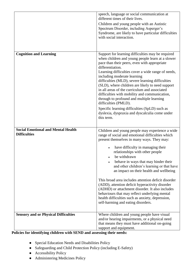|                                             | speech, language or social communication at<br>different times of their lives.                                                                                                                                                                                                                                                                                                                                                                                                                                                                                                                                                                                                     |
|---------------------------------------------|------------------------------------------------------------------------------------------------------------------------------------------------------------------------------------------------------------------------------------------------------------------------------------------------------------------------------------------------------------------------------------------------------------------------------------------------------------------------------------------------------------------------------------------------------------------------------------------------------------------------------------------------------------------------------------|
|                                             | Children and young people with an Autistic<br>Spectrum Disorder, including Asperger's<br>Syndrome, are likely to have particular difficulties<br>with social interaction.                                                                                                                                                                                                                                                                                                                                                                                                                                                                                                          |
|                                             |                                                                                                                                                                                                                                                                                                                                                                                                                                                                                                                                                                                                                                                                                    |
| <b>Cognition and Learning</b>               | Support for learning difficulties may be required<br>when children and young people learn at a slower<br>pace than their peers, even with appropriate<br>differentiation.<br>Learning difficulties cover a wide range of needs,<br>including moderate learning<br>difficulties (MLD), severe learning difficulties<br>(SLD), where children are likely to need support<br>in all areas of the curriculum and associated<br>difficulties with mobility and communication,<br>through to profound and multiple learning<br>difficulties (PMLD).<br>Specific learning difficulties (SpLD) such as<br>dyslexia, dyspraxia and dyscalculia come under<br>this term.                     |
| <b>Social Emotional and Mental Health</b>   |                                                                                                                                                                                                                                                                                                                                                                                                                                                                                                                                                                                                                                                                                    |
| <b>Difficulties</b>                         | Children and young people may experience a wide<br>range of social and emotional difficulties which<br>present themselves in many ways. They may:<br>have difficulty in managing their<br>relationships with other people<br>be withdrawn<br>behave in ways that may hinder their<br>and other children's learning or that have<br>an impact on their health and wellbeing<br>This broad area includes attention deficit disorder<br>(ADD), attention deficit hyperactivity disorder<br>(ADHD) or attachment disorder. It also includes<br>behaviours that may reflect underlying mental<br>health difficulties such as anxiety, depression,<br>self-harming and eating disorders. |
| <b>Sensory and or Physical Difficulties</b> | Where children and young people have visual                                                                                                                                                                                                                                                                                                                                                                                                                                                                                                                                                                                                                                        |
|                                             | and/or hearing impairments, or a physical need<br>that means they must have additional on-going<br>support and equipment.                                                                                                                                                                                                                                                                                                                                                                                                                                                                                                                                                          |

#### **Policies for identifying children with SEND and assessing their needs:**

- Special Education Needs and Disabilities Policy
- Safeguarding and Child Protection Policy (including E-Safety)
- Accessibility Policy
- Administering Medicines Policy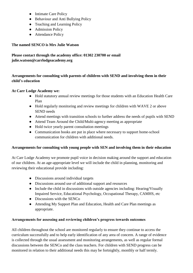- Intimate Care Policy
- Behaviour and Anti Bullying Policy
- Teaching and Learning Policy
- Admission Policy
- Attendance Policy

# **The named SENCO is Mrs Julie Watson**

# **Please contact through the academy office: 01302 230700 or email julie.watson@carrlodgeacademy.org**

# **Arrangements for consulting with parents of children with SEND and involving them in their child's education**

## **At Carr Lodge Academy we:**

- Hold statutory annual review meetings for those students with an Education Health Care Plan
- Hold regularly monitoring and review meetings for children with WAVE 2 or above SEND needs
- Attend meetings with transition schools to further address the needs of pupils with SEND
- Attend Team Around the Child/Multi-agency meeting as appropriate
- Hold twice yearly parent consultation meetings
- Communication books are put in place where necessary to support home-school communication for children with additional needs.

# **Arrangements for consulting with young people with SEN and involving them in their education**

At Carr Lodge Academy we promote pupil voice in decision making around the support and education of our children. At an age-appropriate level we will include the child in planning, monitoring and reviewing their educational provide including:

- Discussions around individual targets
- Discussions around use of additional support and resources
- Include the child in discussions with outside agencies including: Hearing/Visually Impaired Service, Educational Psychology, Occupational Therapy, CAMHS, etc
- Discussions with the SENCo
- Attending My Support Plan and Education, Health and Care Plan meetings as appropriate.

# **Arrangements for assessing and reviewing children's progress towards outcomes**

All children throughout the school are monitored regularly to ensure they continue to access the curriculum successfully and to help early identification of any area of concern. A range of evidence is collected through the usual assessment and monitoring arrangements, as well as regular formal discussions between the SENCo and the class teachers. For children with SEND progress can be monitored in relation to their additional needs this may be fortnightly, monthly or half termly.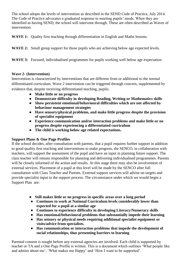The school adopts the levels of intervention as described in the SEND Code of Practice, July 2014. The Code of Practice advocates a graduated response to meeting pupils' needs. When they are identified as having SEND, the school will intervene through. These are often described as Waves of intervention:

WAVE 1: Quality first teaching through differentiation in English and Maths lessons.

**WAVE 2:** Small group support for those pupils who are achieving below age expected levels.

**WAVE 3:** Focused, individualised programmes for pupils working well below age expectation.

#### **Wave 2- (Intervention)**

Intervention is characterized by interventions that are different from or additional to the normal differentiated curriculum. Wave 2 intervention can be triggered through concern, supplemented by evidence that, despite receiving differentiated teaching, pupils:

- **Make little or no progress**
- **Demonstrate difficulty in developing Reading, Writing or Mathematics skills**
- **Show persistent emotional/behavioural difficulties which are not affected by behaviour management strategies**
- **Have sensory/physical problems, and make little progress despite the provision of specialist equipment**
- **Experience communication and/or interaction problems and make little or no progress despite experiencing a differentiated curriculum**
- **The child is working below age related expectations.**

#### **Support Plans & One Page Profiles**

If the school decides, after consultation with parents, that a pupil requires further support in addition to good quality first teaching and interventions to make progress, the SENCO, in collaboration with teachers, will support the assessment of the pupil and have an input in planning future support. The class teacher will remain responsible for planning and delivering individualised programmes. Parents will be closely informed of the action and results. At this stage there may also be involvement of external services. Placement of a pupil at this level will be made by the SENCO after full consultation with Class Teacher and Parents. External support services will advise on targets and provide specialist input to the support process. The circumstance under which we would begin a Support Plan are:

- **Still makes little or no progress in specific areas over a long period**
- **Continues to work at National Curriculum levels considerably lower than expected for a pupil at a similar age**
- **Continues to experience difficulty in developing Literacy/Numeracy skills**
- **Has emotional/behavioural problems that substantially impede their learning**
- **Has sensory or physical needs requiring additional specialist equipment or visits/advice from specialists.**
- **Has communication or interaction problems that impede the development of social relationships, thus presenting barriers to learning**

Parental consent is sought before any external agencies are involved. Each child is supported by teacher or TA and a One Page Profile is written. This is a document which outlines 'What people like and admire about me', 'What makes me Happy' and 'How I want to be supported'.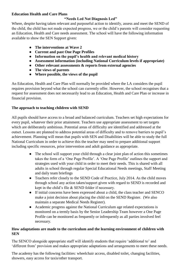#### **Education Health and Care Plans**

## **"Needs Led Not Diagnosis Led"**

Where, despite having taken relevant and purposeful action to identify, assess and meet the SEND of the child, the child has not made expected progress, we or the child's parents will consider requesting an Education, Health and Care needs assessment. The school will have the following information available to show the SEN Support given:

- **The interventions at Wave 2**
- **Current and past One Page Profiles**
- **Information on the pupil's health and relevant medical history**
- **Assessment information (including National Curriculum levels if appropriate)**
- **Other relevant assessments & reports from external agencies**
- **The views of parents**
- **Where possible, the views of the pupil**

An Education, Health and Care Plan will normally be provided where the LA considers the pupil requires provision beyond what the school can currently offer. However, the school recognises that a request for assessment does not necessarily lead to an Education, Health and Care Plan or increase in financial provision.

#### **The approach to teaching children with SEND**

All pupils should have access to a broad and balanced curriculum. Teachers set high expectations for every pupil, whatever their prior attainment. Teachers use appropriate assessment to set targets which are deliberately ambitious. Potential areas of difficulty are identified and addressed at the outset. Lessons are planned to address potential areas of difficulty and to remove barriers to pupil's achievement. Planning will mean that pupils with SEN and Disabilities will be able to study the full National Curriculum in order to achieve this the teacher may need to prepare additional support including specific resources, prior intervention and adult guidance as appropriate.

- The school will support your child through a clear joint plan of action this sometimes takes the form of a 'One Page Profile'. A 'One Page Profile' outlines the support and strategies used with your child in order to meet their needs. This is shared with all adults in school through regular Special Educational Needs meetings, Staff Meeting and daily team briefings
- Teachers refer closely to the SEND Code of Practice, July 2014. As the child moves through school any action taken/support given with regard to SEND is recorded and kept in the child's file & SEND folder if necessary.
- If initial concerns have been expressed about a child, the class teacher and SENCO make a joint decision about placing the child on the SEND Register. (We also maintain a separate Medical Needs Register).
- Academic progress against the National Curriculum age related expectations is monitored on a termly basis by the Senior Leadership Team however a One Page Profile can be monitored as frequently or infrequently as all parties involved feel necessary.

#### **How adaptations are made to the curriculum and the learning environment of children with SEN**

The SENCO alongside appropriate staff will identify students that require 'additional to' and 'different from' provision and makes appropriate adaptations and arrangements to meet these needs.

The academy has the following facilities: wheelchair access, disabled toilet, changing facilities, showers, easy access for taxis/other transport.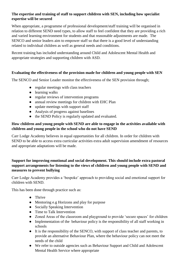#### **The expertise and training of staff to support children with SEN, including how specialist expertise will be secured**

When appropriate, a programme of professional development/staff training will be organised in relation to different SEND need types, to allow staff to feel confident that they are providing a rich and varied learning environment for students and that reasonable adjustments are made. The SENCO and senior leaders aim to empower staff so that there is a good level of understanding related to individual children as well as general needs and conditions.

Recent training has included understanding around Child and Adolescent Mental Health and appropriate strategies and supporting children with ASD.

#### **Evaluating the effectiveness of the provision made for children and young people with SEN**

The SENCO and Senior Leader monitor the effectiveness of the SEN provision through;

- regular meetings with class teachers
- learning walks
- regular reviews of intervention programs
- annual review meetings for children with EHC Plan
- update meetings with support staff
- Analysis of progress against baselines
- the SEND Policy is regularly updated and evaluated.

#### **How children and young people with SEND are able to engage in the activities available with children and young people in the school who do not have SEND**

Carr Lodge Academy believes in equal opportunities for all children. In order for children with SEND to be able to access extra curricular activities extra adult supervision amendment of resources and appropriate adaptations will be made.

#### **Support for improving emotional and social development. This should include extra pastoral support arrangements for listening to the views of children and young people with SEND and measures to prevent bullying**

Carr Lodge Academy provides a 'bespoke' approach to providing social and emotional support for children with SEND.

This has been done through practice such as:

- Thrive
- Mentoring e.g Horizons and play for purpose
- Socially Speaking Intervention
- Time to Talk Intervention
- Zoned Areas of the classroom and playground to provide 'secure spaces' for children
- Implementation of the behaviour policy is the responsibility of all staff working in schools
- It is the responsibility of the SENCO, with support of class teacher and parents, to provide an alternative Behaviour Plan, where the behaviour policy can not meet the needs of the child
- We refer to outside agencies such as Behaviour Support and Child and Adolescent Mental Health Service where appropriate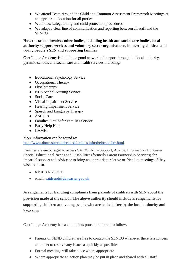- We attend Team Around the Child and Common Assessment Framework Meetings at an appropriate location for all parties
- We follow safeguarding and child protection procedures
- We adapt a clear line of communication and reporting between all staff and the SENCO.

#### **How the school involves other bodies, including health and social care bodies, local authority support services and voluntary sector organisations, in meeting children and young people's SEN and supporting families**

Carr Lodge Academy is building a good network of support through the local authority, pyramid schools and social care and health services including:

- Educational Psychology Service
- Occupational Therapy
- Physiotherapy
- NHS School Nursing Service
- Social Care
- Visual Impairment Service
- Hearing Impairment Service
- Speech and Language Therapy
- ASCETs
- Families First/Safer Families Service
- Early Help Hub
- CAMHs

More information can be found at: <http://www.doncasterchildrenandfamilies.info/thelocaloffer.html>

Families are encouraged to access SAIDSEND - Support, Advice, Information Doncaster Special Educational Needs and Disabilities (formerly Parent Partnership Services) for impartial support and advice or to bring an appropriate relative or friend to meetings if they wish to do so.

- tel: 01302 736920
- email: [saidsend@doncaster.gov.uk](mailto:saidsend@doncaster.gov.uk)

**Arrangements for handling complaints from parents of children with SEN about the provision made at the school. The above authority should include arrangements for supporting children and young people who are looked after by the local authority and have SEN**

Carr Lodge Academy has a complaints procedure for all to follow.

- Parents of SEND children are free to contact the SENCO whenever there is a concern and meet to resolve any issues as quickly as possible
- Formal meetings will take place where appropriate
- Where appropriate an action plan may be put in place and shared with all staff.